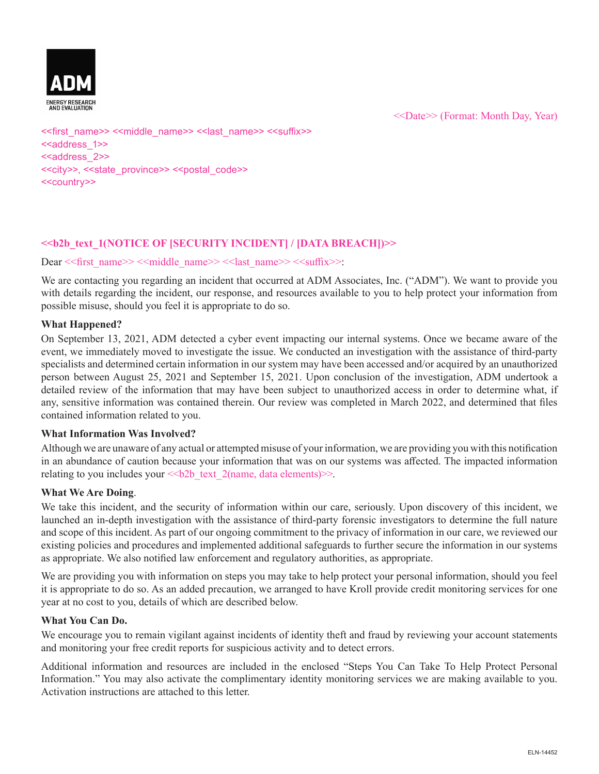

<<Date>> (Format: Month Day, Year)

<<first\_name>> <<middle\_name>> <<last\_name>> <<suffix>> <<address\_1>> <<address\_2>> <<city>>, <<state\_province>> <<postal\_code>> <<country>>

# **<<b2b\_text\_1(NOTICE OF [SECURITY INCIDENT] / [DATA BREACH])>>**

### Dear << first\_name>> <<middle\_name>> << last\_name>> << suffix>>:

We are contacting you regarding an incident that occurred at ADM Associates, Inc. ("ADM"). We want to provide you with details regarding the incident, our response, and resources available to you to help protect your information from possible misuse, should you feel it is appropriate to do so.

# **What Happened?**

On September 13, 2021, ADM detected a cyber event impacting our internal systems. Once we became aware of the event, we immediately moved to investigate the issue. We conducted an investigation with the assistance of third-party specialists and determined certain information in our system may have been accessed and/or acquired by an unauthorized person between August 25, 2021 and September 15, 2021. Upon conclusion of the investigation, ADM undertook a detailed review of the information that may have been subject to unauthorized access in order to determine what, if any, sensitive information was contained therein. Our review was completed in March 2022, and determined that files contained information related to you.

### **What Information Was Involved?**

Although we are unaware of any actual or attempted misuse of your information, we are providing you with this notification in an abundance of caution because your information that was on our systems was affected. The impacted information relating to you includes your  $\leq b2b$  text 2(name, data elements) $\geq$ .

### **What We Are Doing**.

We take this incident, and the security of information within our care, seriously. Upon discovery of this incident, we launched an in-depth investigation with the assistance of third-party forensic investigators to determine the full nature and scope of this incident. As part of our ongoing commitment to the privacy of information in our care, we reviewed our existing policies and procedures and implemented additional safeguards to further secure the information in our systems as appropriate. We also notified law enforcement and regulatory authorities, as appropriate.

We are providing you with information on steps you may take to help protect your personal information, should you feel it is appropriate to do so. As an added precaution, we arranged to have Kroll provide credit monitoring services for one year at no cost to you, details of which are described below.

### **What You Can Do.**

We encourage you to remain vigilant against incidents of identity theft and fraud by reviewing your account statements and monitoring your free credit reports for suspicious activity and to detect errors.

Additional information and resources are included in the enclosed "Steps You Can Take To Help Protect Personal Information." You may also activate the complimentary identity monitoring services we are making available to you. Activation instructions are attached to this letter.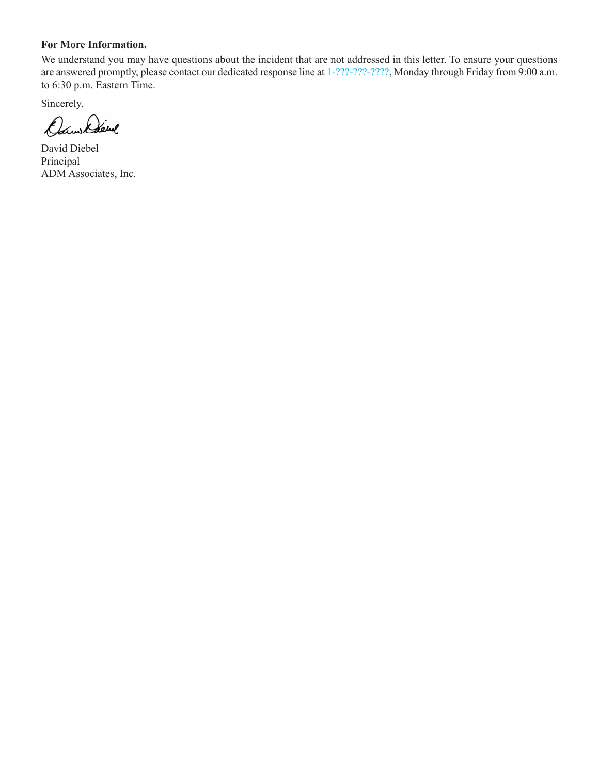# **For More Information.**

We understand you may have questions about the incident that are not addressed in this letter. To ensure your questions are answered promptly, please contact our dedicated response line at 1-???-???-????, Monday through Friday from 9:00 a.m. to 6:30 p.m. Eastern Time.

Sincerely,

Odwolderd.

David Diebel Principal ADM Associates, Inc.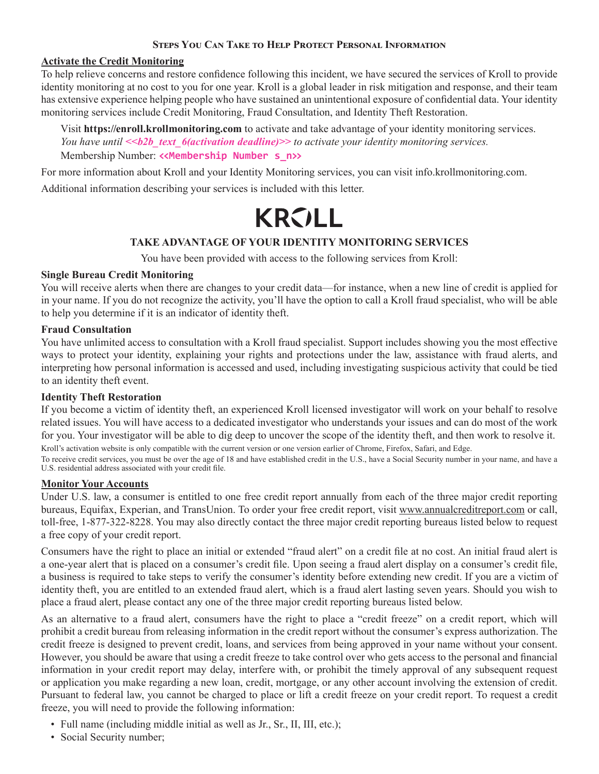## **Steps You Can Take to Help Protect Personal Information**

## **Activate the Credit Monitoring**

To help relieve concerns and restore confidence following this incident, we have secured the services of Kroll to provide identity monitoring at no cost to you for one year. Kroll is a global leader in risk mitigation and response, and their team has extensive experience helping people who have sustained an unintentional exposure of confidential data. Your identity monitoring services include Credit Monitoring, Fraud Consultation, and Identity Theft Restoration.

Visit **https://enroll.krollmonitoring.com** to activate and take advantage of your identity monitoring services. *You have until <<b2b\_text\_6(activation deadline)>> to activate your identity monitoring services.* Membership Number: **<<Membership Number s\_n>>**

For more information about Kroll and your Identity Monitoring services, you can visit info.krollmonitoring.com.

Additional information describing your services is included with this letter.

# **KRVLL**

# **TAKE ADVANTAGE OF YOUR IDENTITY MONITORING SERVICES**

You have been provided with access to the following services from Kroll:

# **Single Bureau Credit Monitoring**

You will receive alerts when there are changes to your credit data—for instance, when a new line of credit is applied for in your name. If you do not recognize the activity, you'll have the option to call a Kroll fraud specialist, who will be able to help you determine if it is an indicator of identity theft.

# **Fraud Consultation**

You have unlimited access to consultation with a Kroll fraud specialist. Support includes showing you the most effective ways to protect your identity, explaining your rights and protections under the law, assistance with fraud alerts, and interpreting how personal information is accessed and used, including investigating suspicious activity that could be tied to an identity theft event.

### **Identity Theft Restoration**

If you become a victim of identity theft, an experienced Kroll licensed investigator will work on your behalf to resolve related issues. You will have access to a dedicated investigator who understands your issues and can do most of the work for you. Your investigator will be able to dig deep to uncover the scope of the identity theft, and then work to resolve it.

Kroll's activation website is only compatible with the current version or one version earlier of Chrome, Firefox, Safari, and Edge. To receive credit services, you must be over the age of 18 and have established credit in the U.S., have a Social Security number in your name, and have a U.S. residential address associated with your credit file.

### **Monitor Your Accounts**

Under U.S. law, a consumer is entitled to one free credit report annually from each of the three major credit reporting bureaus, Equifax, Experian, and TransUnion. To order your free credit report, visit www.annualcreditreport.com or call, toll-free, 1-877-322-8228. You may also directly contact the three major credit reporting bureaus listed below to request a free copy of your credit report.

Consumers have the right to place an initial or extended "fraud alert" on a credit file at no cost. An initial fraud alert is a one-year alert that is placed on a consumer's credit file. Upon seeing a fraud alert display on a consumer's credit file, a business is required to take steps to verify the consumer's identity before extending new credit. If you are a victim of identity theft, you are entitled to an extended fraud alert, which is a fraud alert lasting seven years. Should you wish to place a fraud alert, please contact any one of the three major credit reporting bureaus listed below.

As an alternative to a fraud alert, consumers have the right to place a "credit freeze" on a credit report, which will prohibit a credit bureau from releasing information in the credit report without the consumer's express authorization. The credit freeze is designed to prevent credit, loans, and services from being approved in your name without your consent. However, you should be aware that using a credit freeze to take control over who gets access to the personal and financial information in your credit report may delay, interfere with, or prohibit the timely approval of any subsequent request or application you make regarding a new loan, credit, mortgage, or any other account involving the extension of credit. Pursuant to federal law, you cannot be charged to place or lift a credit freeze on your credit report. To request a credit freeze, you will need to provide the following information:

- Full name (including middle initial as well as Jr., Sr., II, III, etc.);
- Social Security number;